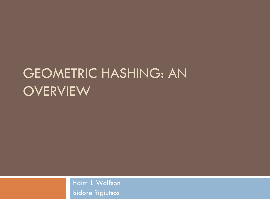### GEOMETRIC HASHING: AN OVERVIEW

Haim J. Wolfson Isidore Rigiutsos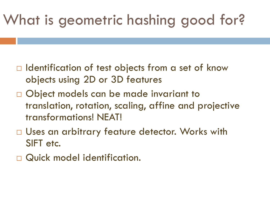# What is geometric hashing good for?

- $\Box$  Identification of test objects from a set of know objects using 2D or 3D features
- □ Object models can be made invariant to translation, rotation, scaling, affine and projective transformations! NEAT!
- □ Uses an arbitrary feature detector. Works with SIFT etc.
- Quick model identification.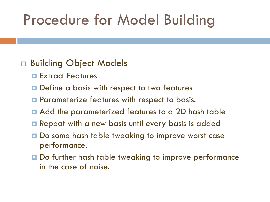## Procedure for Model Building

#### □ Building Object Models

- **Extract Features**
- **□** Define a basis with respect to two features
- **E** Parameterize features with respect to basis.
- Add the parameterized features to a 2D hash table
- **Repeat with a new basis until every basis is added**
- Do some hash table tweaking to improve worst case performance.
- **□** Do further hash table tweaking to improve performance in the case of noise.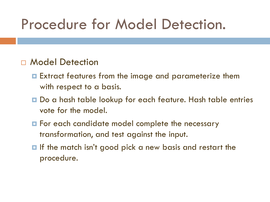### Procedure for Model Detection.

#### Model Detection

- Extract features from the image and parameterize them with respect to a basis.
- **□** Do a hash table lookup for each feature. Hash table entries vote for the model.
- **E** For each candidate model complete the necessary transformation, and test against the input.
- $\blacksquare$  If the match isn't good pick a new basis and restart the procedure.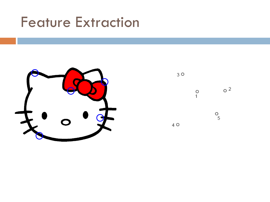#### Feature Extraction



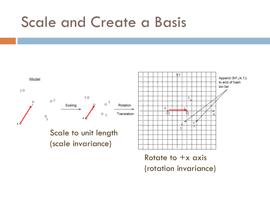#### Scale and Create a Basis

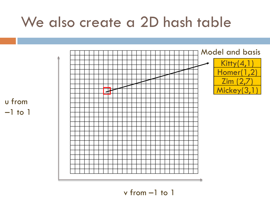#### We also create a 2D hash table



v from –1 to 1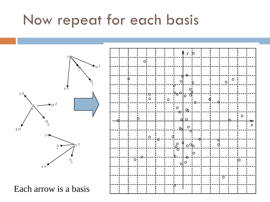#### Now repeat for each basis

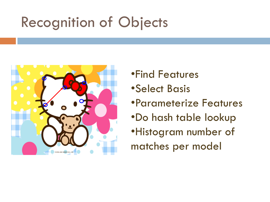## Recognition of Objects



- •Find Features
- •Select Basis
- •Parameterize Features
- •Do hash table lookup
- •Histogram number of matches per model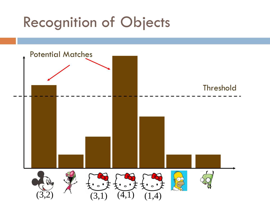## Recognition of Objects

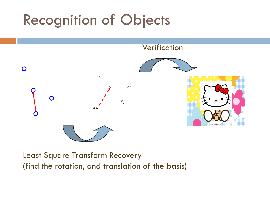### Recognition of Objects



Least Square Transform Recovery (find the rotation, and translation of the basis)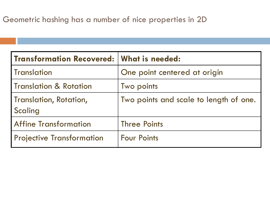| <b>Transformation Recovered:</b>         | What is needed:                        |
|------------------------------------------|----------------------------------------|
| <b>Translation</b>                       | One point centered at origin           |
| <b>Translation &amp; Rotation</b>        | Two points                             |
| <b>Translation, Rotation,</b><br>Scaling | Two points and scale to length of one. |
| <b>Affine Transformation</b>             | <b>Three Points</b>                    |
| <b>Projective Transformation</b>         | <b>Four Points</b>                     |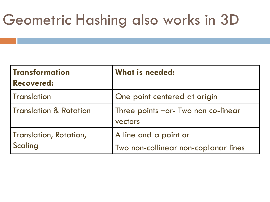## Geometric Hashing also works in 3D

| <b>Transformation</b><br><b>Recovered:</b> | What is needed:                                               |
|--------------------------------------------|---------------------------------------------------------------|
| <b>Translation</b>                         | One point centered at origin                                  |
| <b>Translation &amp; Rotation</b>          | <u>Three points -or- Two non co-linear</u><br>vectors         |
| Translation, Rotation,<br>Scaling          | A line and a point or<br>Two non-collinear non-coplanar lines |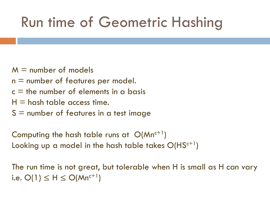## Run time of Geometric Hashing

- $M =$  number of models
- $n =$  number of features per model.
- $c =$  the number of elements in a basis
- $H =$  hash table access time.
- $S =$  number of features in a test image

Computing the hash table runs at  $O(Mn^{c+1})$ Looking up a model in the hash table takes  $O(HS^{c+1})$ 

The run time is not great, but tolerable when H is small as H can vary i.e.  $O(1)$  ≤ H ≤  $O(Mn^{c+1})$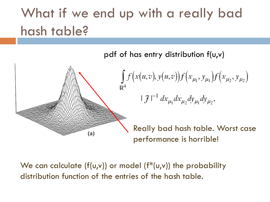## What if we end up with a really bad hash table?

pdf of has entry distribution f(u,v)



$$
\int_{A} f(x(u,v), y(u,v)) f(x_{\mu_1}, y_{\mu_1}) f(x_{\mu_2}, y_{\mu_2})
$$
  

$$
|\mathcal{F}|^{-1} dx_{\mu_1} dx_{\mu_2} dy_{\mu_1} dy_{\mu_2},
$$

Really bad hash table. Worst case performance is horrible!

We can calculate ( $f(u,v)$ ) or model ( $f^*(u,v)$ ) the probability distribution function of the entries of the hash table.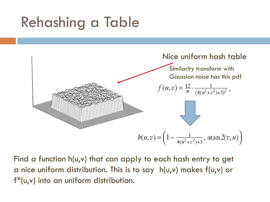## Rehashing a Table



Find a function h(u,v) that can apply to each hash entry to get a nice uniform distribution. This is to say h(u,v) makes f(u,v) or f\*(u,v) into an uniform distribution.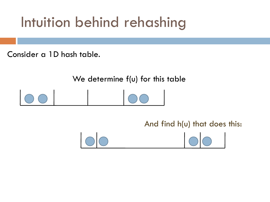## Intuition behind rehashing

Consider a 1D hash table.

We determine f(u) for this table

And find h(u) that does this:

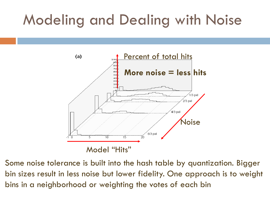## Modeling and Dealing with Noise



Some noise tolerance is built into the hash table by quantization. Bigger bin sizes result in less noise but lower fidelity. One approach is to weight bins in a neighborhood or weighting the votes of each bin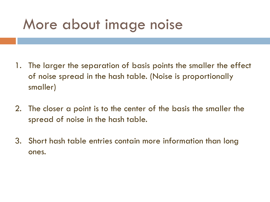#### More about image noise

- 1. The larger the separation of basis points the smaller the effect of noise spread in the hash table. (Noise is proportionally smaller)
- 2. The closer a point is to the center of the basis the smaller the spread of noise in the hash table.
- 3. Short hash table entries contain more information than long ones.